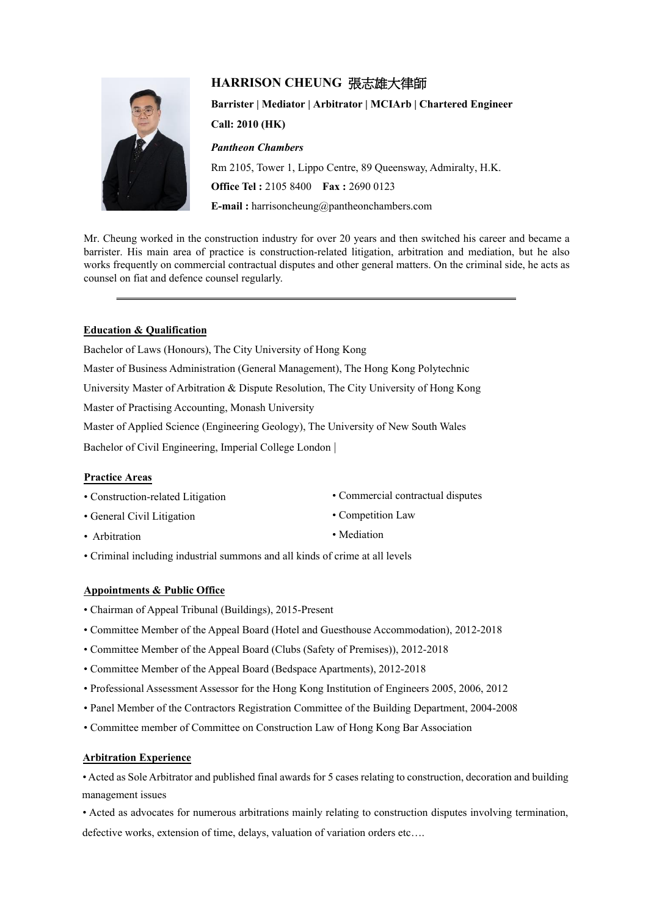# **HARRISON CHEUNG** 張志雄大律師



**Barrister | Mediator | Arbitrator | MCIArb | Chartered Engineer Call: 2010 (HK)** *Pantheon Chambers* Rm 2105, Tower 1, Lippo Centre, 89 Queensway, Admiralty, H.K. **Office Tel :** 2105 8400 **Fax :** 2690 0123

**E-mail :** harrisoncheung@pantheonchambers.com

Mr. Cheung worked in the construction industry for over 20 years and then switched his career and became a barrister. His main area of practice is construction-related litigation, arbitration and mediation, but he also works frequently on commercial contractual disputes and other general matters. On the criminal side, he acts as counsel on fiat and defence counsel regularly.

# **Education & Qualification**

Bachelor of Laws (Honours), The City University of Hong Kong Master of Business Administration (General Management), The Hong Kong Polytechnic University Master of Arbitration & Dispute Resolution, The City University of Hong Kong Master of Practising Accounting, Monash University

Master of Applied Science (Engineering Geology), The University of New South Wales

Bachelor of Civil Engineering, Imperial College London |

#### **Practice Areas**

| • Construction-related Litigation | • Commercial contractual disputes |
|-----------------------------------|-----------------------------------|
| • General Civil Litigation        | • Competition Law                 |
| • Arbitration                     | • Mediation                       |

• Criminal including industrial summons and all kinds of crime at all levels

# **Appointments & Public Office**

- Chairman of Appeal Tribunal (Buildings), 2015-Present
- Committee Member of the Appeal Board (Hotel and Guesthouse Accommodation), 2012-2018
- Committee Member of the Appeal Board (Clubs (Safety of Premises)), 2012-2018
- Committee Member of the Appeal Board (Bedspace Apartments), 2012-2018
- Professional Assessment Assessor for the Hong Kong Institution of Engineers 2005, 2006, 2012
- Panel Member of the Contractors Registration Committee of the Building Department, 2004-2008
- Committee member of Committee on Construction Law of Hong Kong Bar Association

# **Arbitration Experience**

• Acted as Sole Arbitrator and published final awards for 5 cases relating to construction, decoration and building management issues

• Acted as advocates for numerous arbitrations mainly relating to construction disputes involving termination, defective works, extension of time, delays, valuation of variation orders etc….